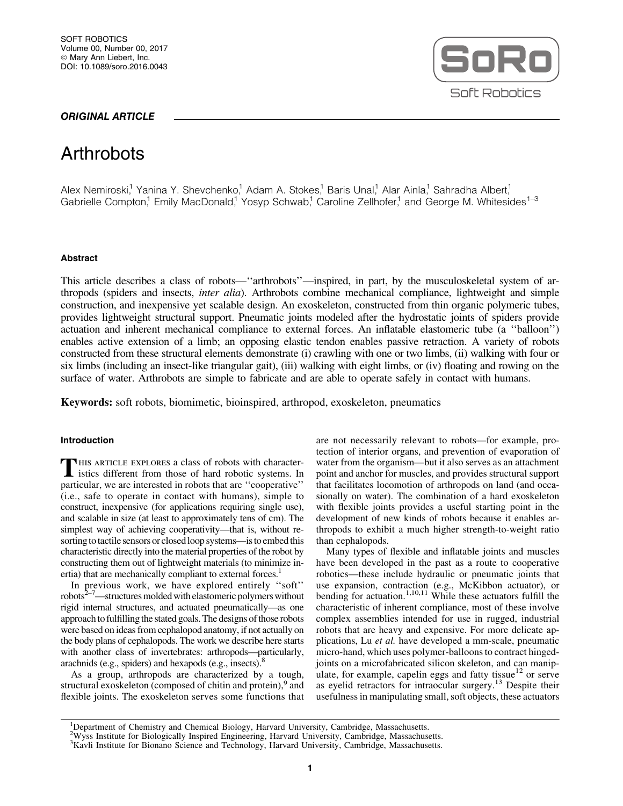

# ORIGINAL ARTICLE

# **Arthrobots**

Alex Nemiroski,<sup>1</sup> Yanina Y. Shevchenko,<sup>1</sup> Adam A. Stokes,<sup>1</sup> Baris Unal,<sup>1</sup> Alar Ainla,<sup>1</sup> Sahradha Albert,<sup>1</sup> Gabrielle Compton,<sup>1</sup> Emily MacDonald,<sup>1</sup> Yosyp Schwab,<sup>1</sup> Caroline Zellhofer,<sup>1</sup> and George M. Whitesides<sup>1-3</sup>

## Abstract

This article describes a class of robots—''arthrobots''—inspired, in part, by the musculoskeletal system of arthropods (spiders and insects, *inter alia*). Arthrobots combine mechanical compliance, lightweight and simple construction, and inexpensive yet scalable design. An exoskeleton, constructed from thin organic polymeric tubes, provides lightweight structural support. Pneumatic joints modeled after the hydrostatic joints of spiders provide actuation and inherent mechanical compliance to external forces. An inflatable elastomeric tube (a ''balloon'') enables active extension of a limb; an opposing elastic tendon enables passive retraction. A variety of robots constructed from these structural elements demonstrate (i) crawling with one or two limbs, (ii) walking with four or six limbs (including an insect-like triangular gait), (iii) walking with eight limbs, or (iv) floating and rowing on the surface of water. Arthrobots are simple to fabricate and are able to operate safely in contact with humans.

Keywords: soft robots, biomimetic, bioinspired, arthropod, exoskeleton, pneumatics

## Introduction

THIS ARTICLE EXPLORES a class of robots with character-<br>istics different from those of hard robotic systems. In particular, we are interested in robots that are ''cooperative'' (i.e., safe to operate in contact with humans), simple to construct, inexpensive (for applications requiring single use), and scalable in size (at least to approximately tens of cm). The simplest way of achieving cooperativity—that is, without resorting to tactile sensors or closed loop systems—is to embed this characteristic directly into the material properties of the robot by constructing them out of lightweight materials (to minimize inertia) that are mechanically compliant to external forces.<sup>1</sup>

In previous work, we have explored entirely ''soft'' robots $2^{-7}$ —structures molded with elastomeric polymers without rigid internal structures, and actuated pneumatically—as one approach to fulfilling the stated goals. The designs of those robots were based on ideas from cephalopod anatomy, if not actually on the body plans of cephalopods. The work we describe here starts with another class of invertebrates: arthropods—particularly, arachnids (e.g., spiders) and hexapods (e.g., insects).8

As a group, arthropods are characterized by a tough, structural exoskeleton (composed of chitin and protein),<sup>9</sup> and flexible joints. The exoskeleton serves some functions that are not necessarily relevant to robots—for example, protection of interior organs, and prevention of evaporation of water from the organism—but it also serves as an attachment point and anchor for muscles, and provides structural support that facilitates locomotion of arthropods on land (and occasionally on water). The combination of a hard exoskeleton with flexible joints provides a useful starting point in the development of new kinds of robots because it enables arthropods to exhibit a much higher strength-to-weight ratio than cephalopods.

Many types of flexible and inflatable joints and muscles have been developed in the past as a route to cooperative robotics—these include hydraulic or pneumatic joints that use expansion, contraction (e.g., McKibbon actuator), or bending for actuation.<sup>1,10,11</sup> While these actuators fulfill the characteristic of inherent compliance, most of these involve complex assemblies intended for use in rugged, industrial robots that are heavy and expensive. For more delicate applications, Lu *et al.* have developed a mm-scale, pneumatic micro-hand, which uses polymer-balloons to contract hingedjoints on a microfabricated silicon skeleton, and can manipulate, for example, capelin eggs and fatty tissue<sup>12</sup> or serve as eyelid retractors for intraocular surgery.<sup>13</sup> Despite their usefulness in manipulating small, soft objects, these actuators

<sup>&</sup>lt;sup>1</sup>Department of Chemistry and Chemical Biology, Harvard University, Cambridge, Massachusetts.

<sup>&</sup>lt;sup>2</sup>Wyss Institute for Biologically Inspired Engineering, Harvard University, Cambridge, Massachusetts.

<sup>&</sup>lt;sup>3</sup>Kavli Institute for Bionano Science and Technology, Harvard University, Cambridge, Massachusetts.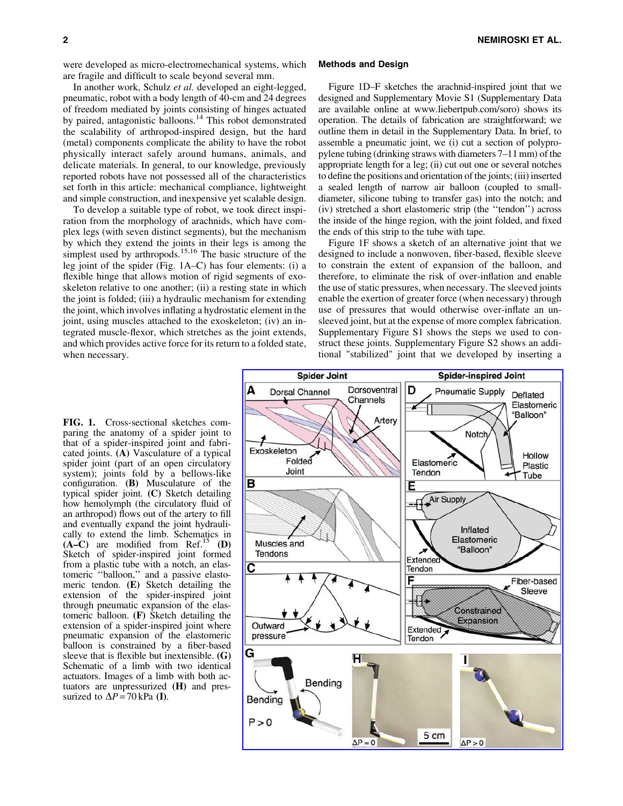were developed as micro-electromechanical systems, which are fragile and difficult to scale beyond several mm.

In another work, Schulz *et al.* developed an eight-legged, pneumatic, robot with a body length of 40-cm and 24 degrees of freedom mediated by joints consisting of hinges actuated by paired, antagonistic balloons.<sup>14</sup> This robot demonstrated the scalability of arthropod-inspired design, but the hard (metal) components complicate the ability to have the robot physically interact safely around humans, animals, and delicate materials. In general, to our knowledge, previously reported robots have not possessed all of the characteristics set forth in this article: mechanical compliance, lightweight and simple construction, and inexpensive yet scalable design.

To develop a suitable type of robot, we took direct inspiration from the morphology of arachnids, which have complex legs (with seven distinct segments), but the mechanism by which they extend the joints in their legs is among the simplest used by arthropods.<sup>15,16</sup> The basic structure of the leg joint of the spider (Fig. 1A–C) has four elements: (i) a flexible hinge that allows motion of rigid segments of exoskeleton relative to one another; (ii) a resting state in which the joint is folded; (iii) a hydraulic mechanism for extending the joint, which involves inflating a hydrostatic element in the joint, using muscles attached to the exoskeleton; (iv) an integrated muscle-flexor, which stretches as the joint extends, and which provides active force for its return to a folded state, when necessary.

#### Methods and Design

Figure 1D–F sketches the arachnid-inspired joint that we designed and Supplementary Movie S1 (Supplementary Data are available online at www.liebertpub.com/soro) shows its operation. The details of fabrication are straightforward; we outline them in detail in the Supplementary Data. In brief, to assemble a pneumatic joint, we (i) cut a section of polypropylene tubing (drinking straws with diameters 7–11 mm) of the appropriate length for a leg; (ii) cut out one or several notches to define the positions and orientation of the joints; (iii) inserted a sealed length of narrow air balloon (coupled to smalldiameter, silicone tubing to transfer gas) into the notch; and (iv) stretched a short elastomeric strip (the ''tendon'') across the inside of the hinge region, with the joint folded, and fixed the ends of this strip to the tube with tape.

Figure 1F shows a sketch of an alternative joint that we designed to include a nonwoven, fiber-based, flexible sleeve to constrain the extent of expansion of the balloon, and therefore, to eliminate the risk of over-inflation and enable the use of static pressures, when necessary. The sleeved joints enable the exertion of greater force (when necessary) through use of pressures that would otherwise over-inflate an unsleeved joint, but at the expense of more complex fabrication. Supplementary Figure S1 shows the steps we used to construct these joints. Supplementary Figure S2 shows an additional "stabilized" joint that we developed by inserting a

FIG. 1. Cross-sectional sketches comparing the anatomy of a spider joint to that of a spider-inspired joint and fabricated joints. (A) Vasculature of a typical spider joint (part of an open circulatory system); joints fold by a bellows-like configuration. (B) Musculature of the typical spider joint. (C) Sketch detailing how hemolymph (the circulatory fluid of an arthropod) flows out of the artery to fill and eventually expand the joint hydraulically to extend the limb. Schematics in  $(A-C)$  are modified from Ref.<sup>15</sup> (D) Sketch of spider-inspired joint formed from a plastic tube with a notch, an elastomeric ''balloon,'' and a passive elastomeric tendon. (E) Sketch detailing the extension of the spider-inspired joint through pneumatic expansion of the elastomeric balloon. (F) Sketch detailing the extension of a spider-inspired joint where pneumatic expansion of the elastomeric balloon is constrained by a fiber-based sleeve that is flexible but inextensible. (G) Schematic of a limb with two identical actuators. Images of a limb with both actuators are unpressurized (H) and pressurized to  $\Delta P = 70$  kPa (I).

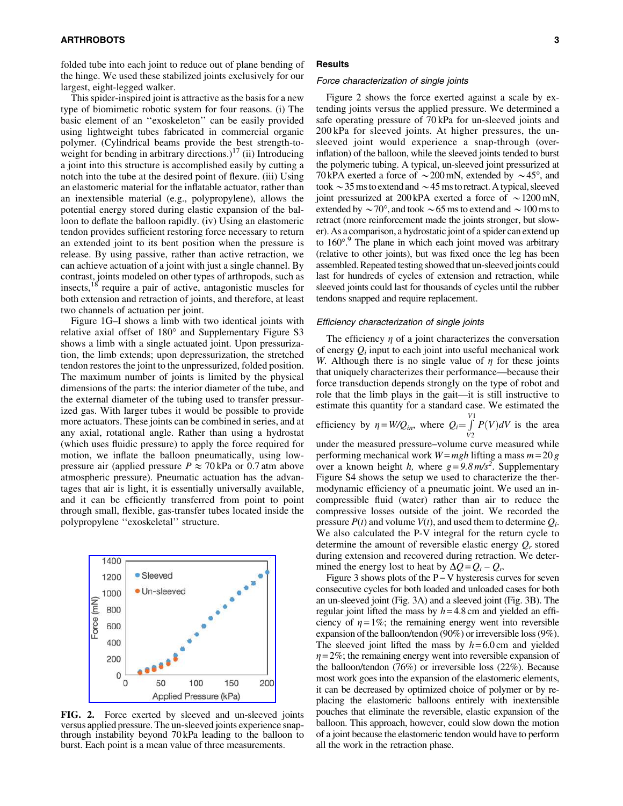folded tube into each joint to reduce out of plane bending of the hinge. We used these stabilized joints exclusively for our largest, eight-legged walker.

This spider-inspired joint is attractive as the basis for a new type of biomimetic robotic system for four reasons. (i) The basic element of an ''exoskeleton'' can be easily provided using lightweight tubes fabricated in commercial organic polymer. (Cylindrical beams provide the best strength-toweight for bending in arbitrary directions.)<sup>17</sup> (ii) Introducing a joint into this structure is accomplished easily by cutting a notch into the tube at the desired point of flexure. (iii) Using an elastomeric material for the inflatable actuator, rather than an inextensible material (e.g., polypropylene), allows the potential energy stored during elastic expansion of the balloon to deflate the balloon rapidly. (iv) Using an elastomeric tendon provides sufficient restoring force necessary to return an extended joint to its bent position when the pressure is release. By using passive, rather than active retraction, we can achieve actuation of a joint with just a single channel. By contrast, joints modeled on other types of arthropods, such as insects,<sup>18</sup> require a pair of active, antagonistic muscles for both extension and retraction of joints, and therefore, at least two channels of actuation per joint.

Figure 1G–I shows a limb with two identical joints with relative axial offset of 180° and Supplementary Figure S3 shows a limb with a single actuated joint. Upon pressurization, the limb extends; upon depressurization, the stretched tendon restores the joint to the unpressurized, folded position. The maximum number of joints is limited by the physical dimensions of the parts: the interior diameter of the tube, and the external diameter of the tubing used to transfer pressurized gas. With larger tubes it would be possible to provide more actuators. These joints can be combined in series, and at any axial, rotational angle. Rather than using a hydrostat (which uses fluidic pressure) to apply the force required for motion, we inflate the balloon pneumatically, using lowpressure air (applied pressure  $P \approx 70$  kPa or 0.7 atm above atmospheric pressure). Pneumatic actuation has the advantages that air is light, it is essentially universally available, and it can be efficiently transferred from point to point through small, flexible, gas-transfer tubes located inside the polypropylene ''exoskeletal'' structure.



FIG. 2. Force exerted by sleeved and un-sleeved joints versus applied pressure. The un-sleeved joints experience snapthrough instability beyond 70 kPa leading to the balloon to burst. Each point is a mean value of three measurements.

## **Results**

#### Force characterization of single joints

Figure 2 shows the force exerted against a scale by extending joints versus the applied pressure. We determined a safe operating pressure of 70 kPa for un-sleeved joints and 200 kPa for sleeved joints. At higher pressures, the unsleeved joint would experience a snap-through (overinflation) of the balloon, while the sleeved joints tended to burst the polymeric tubing. A typical, un-sleeved joint pressurized at 70 kPA exerted a force of  $\sim$  200 mN, extended by  $\sim$  45°, and took  $\sim$  35 ms to extend and  $\sim$  45 ms to retract. A typical, sleeved joint pressurized at 200 kPA exerted a force of  $\sim$  1200 mN, extended by  $\sim$  70°, and took  $\sim$  65 ms to extend and  $\sim$  100 ms to retract (more reinforcement made the joints stronger, but slower). As a comparison, a hydrostatic joint of a spider can extend up to 160°.<sup>9</sup> The plane in which each joint moved was arbitrary (relative to other joints), but was fixed once the leg has been assembled. Repeated testing showed that un-sleeved joints could last for hundreds of cycles of extension and retraction, while sleeved joints could last for thousands of cycles until the rubber tendons snapped and require replacement.

#### Efficiency characterization of single joints

The efficiency  $\eta$  of a joint characterizes the conversation of energy *Qi* input to each joint into useful mechanical work *W.* Although there is no single value of  $\eta$  for these joints that uniquely characterizes their performance—because their force transduction depends strongly on the type of robot and role that the limb plays in the gait—it is still instructive to estimate this quantity for a standard case. We estimated the

efficiency by  $\eta = W/Q_{in}$ , where  $Q_i = \int^{V_1}$ *V*2  $P(V)dV$  is the area

under the measured pressure–volume curve measured while performing mechanical work  $W = mgh$  lifting a mass  $m = 20 g$ over a known height *h*, where  $g = 9.8 \text{ m/s}^2$ . Supplementary Figure S4 shows the setup we used to characterize the thermodynamic efficiency of a pneumatic joint. We used an incompressible fluid (water) rather than air to reduce the compressive losses outside of the joint. We recorded the pressure  $P(t)$  and volume  $V(t)$ , and used them to determine  $Q_i$ . We also calculated the P-V integral for the return cycle to determine the amount of reversible elastic energy  $Q_r$  stored during extension and recovered during retraction. We determined the energy lost to heat by  $\Delta Q = Q_i - Q_r$ .

Figure 3 shows plots of the  $P-V$  hysteresis curves for seven consecutive cycles for both loaded and unloaded cases for both an un-sleeved joint (Fig. 3A) and a sleeved joint (Fig. 3B). The regular joint lifted the mass by  $h = 4.8$  cm and yielded an efficiency of  $\eta = 1\%$ ; the remaining energy went into reversible expansion of the balloon/tendon (90%) or irreversible loss (9%). The sleeved joint lifted the mass by  $h = 6.0$  cm and yielded  $\eta = 2\%$ ; the remaining energy went into reversible expansion of the balloon/tendon (76%) or irreversible loss (22%). Because most work goes into the expansion of the elastomeric elements, it can be decreased by optimized choice of polymer or by replacing the elastomeric balloons entirely with inextensible pouches that eliminate the reversible, elastic expansion of the balloon. This approach, however, could slow down the motion of a joint because the elastomeric tendon would have to perform all the work in the retraction phase.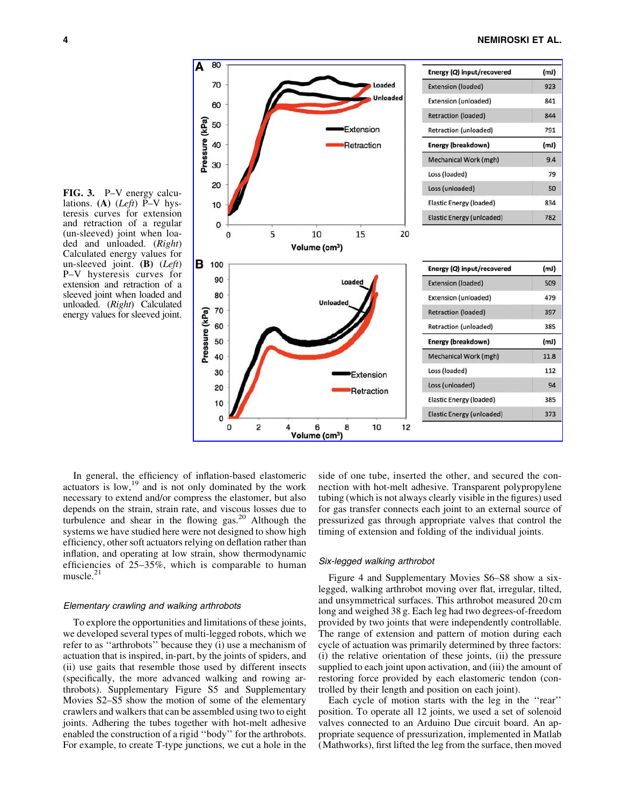#### 4 NEMIROSKI ET AL.



FIG. 3. P–V energy calculations. (A) (*Left*) P–V hysteresis curves for extension and retraction of a regular (un-sleeved) joint when loaded and unloaded. (*Right*) Calculated energy values for un-sleeved joint. (B) (*Left*) P–V hysteresis curves for extension and retraction of a sleeved joint when loaded and unloaded. (*Right*) Calculated energy values for sleeved joint.

In general, the efficiency of inflation-based elastomeric actuators is low, $^{19}$  and is not only dominated by the work necessary to extend and/or compress the elastomer, but also depends on the strain, strain rate, and viscous losses due to turbulence and shear in the flowing gas. $20$  Although the systems we have studied here were not designed to show high efficiency, other soft actuators relying on deflation rather than inflation, and operating at low strain, show thermodynamic efficiencies of 25–35%, which is comparable to human muscle.<sup>21</sup>

#### Elementary crawling and walking arthrobots

To explore the opportunities and limitations of these joints, we developed several types of multi-legged robots, which we refer to as ''arthrobots'' because they (i) use a mechanism of actuation that is inspired, in-part, by the joints of spiders, and (ii) use gaits that resemble those used by different insects (specifically, the more advanced walking and rowing arthrobots). Supplementary Figure S5 and Supplementary Movies S2–S5 show the motion of some of the elementary crawlers and walkers that can be assembled using two to eight joints. Adhering the tubes together with hot-melt adhesive enabled the construction of a rigid ''body'' for the arthrobots. For example, to create T-type junctions, we cut a hole in the side of one tube, inserted the other, and secured the connection with hot-melt adhesive. Transparent polypropylene tubing (which is not always clearly visible in the figures) used for gas transfer connects each joint to an external source of pressurized gas through appropriate valves that control the timing of extension and folding of the individual joints.

#### Six-legged walking arthrobot

Figure 4 and Supplementary Movies S6–S8 show a sixlegged, walking arthrobot moving over flat, irregular, tilted, and unsymmetrical surfaces. This arthrobot measured 20 cm long and weighed 38 g. Each leg had two degrees-of-freedom provided by two joints that were independently controllable. The range of extension and pattern of motion during each cycle of actuation was primarily determined by three factors: (i) the relative orientation of these joints, (ii) the pressure supplied to each joint upon activation, and (iii) the amount of restoring force provided by each elastomeric tendon (controlled by their length and position on each joint).

Each cycle of motion starts with the leg in the ''rear'' position. To operate all 12 joints, we used a set of solenoid valves connected to an Arduino Due circuit board. An appropriate sequence of pressurization, implemented in Matlab (Mathworks), first lifted the leg from the surface, then moved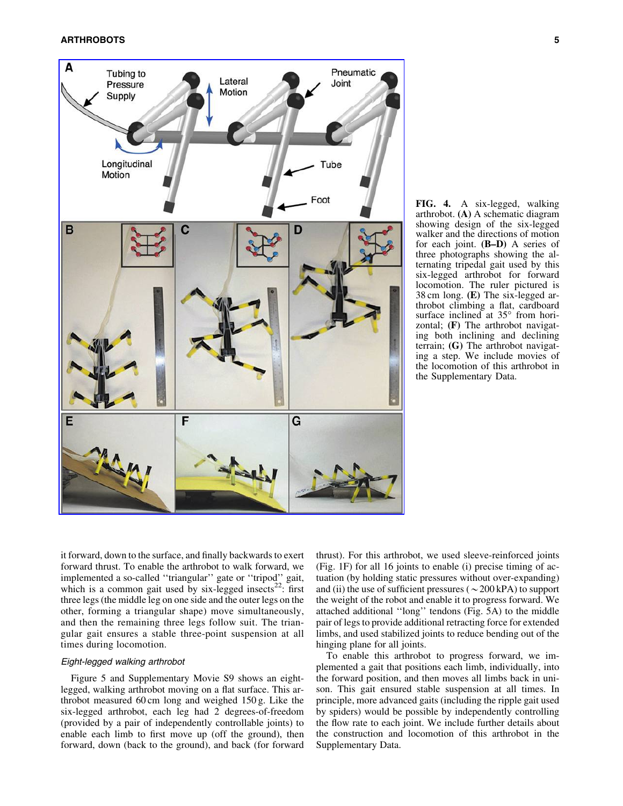

FIG. 4. A six-legged, walking arthrobot. (A) A schematic diagram showing design of the six-legged walker and the directions of motion for each joint. (B–D) A series of three photographs showing the alternating tripedal gait used by this six-legged arthrobot for forward locomotion. The ruler pictured is 38 cm long. (E) The six-legged arthrobot climbing a flat, cardboard surface inclined at  $35^{\circ}$  from horizontal; (F) The arthrobot navigating both inclining and declining terrain; (G) The arthrobot navigating a step. We include movies of the locomotion of this arthrobot in the Supplementary Data.

it forward, down to the surface, and finally backwards to exert forward thrust. To enable the arthrobot to walk forward, we implemented a so-called ''triangular'' gate or ''tripod'' gait, which is a common gait used by six-legged insects<sup>22</sup>: first three legs (the middle leg on one side and the outer legs on the other, forming a triangular shape) move simultaneously, and then the remaining three legs follow suit. The triangular gait ensures a stable three-point suspension at all times during locomotion.

## Eight-legged walking arthrobot

Figure 5 and Supplementary Movie S9 shows an eightlegged, walking arthrobot moving on a flat surface. This arthrobot measured 60 cm long and weighed 150 g. Like the six-legged arthrobot, each leg had 2 degrees-of-freedom (provided by a pair of independently controllable joints) to enable each limb to first move up (off the ground), then forward, down (back to the ground), and back (for forward

thrust). For this arthrobot, we used sleeve-reinforced joints (Fig. 1F) for all 16 joints to enable (i) precise timing of actuation (by holding static pressures without over-expanding) and (ii) the use of sufficient pressures ( $\sim$  200 kPA) to support the weight of the robot and enable it to progress forward. We attached additional ''long'' tendons (Fig. 5A) to the middle pair of legs to provide additional retracting force for extended limbs, and used stabilized joints to reduce bending out of the hinging plane for all joints.

To enable this arthrobot to progress forward, we implemented a gait that positions each limb, individually, into the forward position, and then moves all limbs back in unison. This gait ensured stable suspension at all times. In principle, more advanced gaits (including the ripple gait used by spiders) would be possible by independently controlling the flow rate to each joint. We include further details about the construction and locomotion of this arthrobot in the Supplementary Data.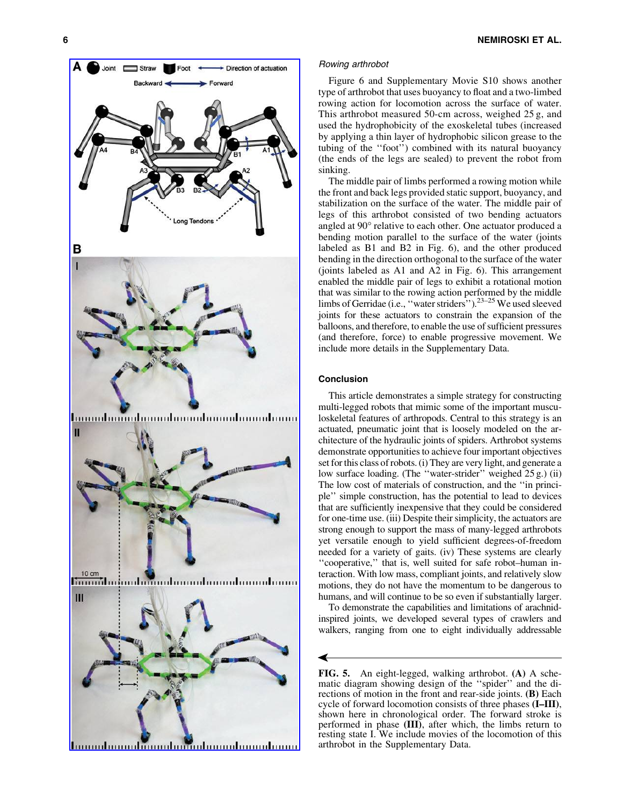

#### Rowing arthrobot

Figure 6 and Supplementary Movie S10 shows another type of arthrobot that uses buoyancy to float and a two-limbed rowing action for locomotion across the surface of water. This arthrobot measured 50-cm across, weighed 25 g, and used the hydrophobicity of the exoskeletal tubes (increased by applying a thin layer of hydrophobic silicon grease to the tubing of the ''foot'') combined with its natural buoyancy (the ends of the legs are sealed) to prevent the robot from sinking.

The middle pair of limbs performed a rowing motion while the front and back legs provided static support, buoyancy, and stabilization on the surface of the water. The middle pair of legs of this arthrobot consisted of two bending actuators angled at 90° relative to each other. One actuator produced a bending motion parallel to the surface of the water (joints labeled as B1 and B2 in Fig. 6), and the other produced bending in the direction orthogonal to the surface of the water (joints labeled as A1 and A2 in Fig. 6). This arrangement enabled the middle pair of legs to exhibit a rotational motion that was similar to the rowing action performed by the middle limbs of Gerridae (i.e., "water striders").<sup>23–25</sup> We used sleeved joints for these actuators to constrain the expansion of the balloons, and therefore, to enable the use of sufficient pressures (and therefore, force) to enable progressive movement. We include more details in the Supplementary Data.

### Conclusion

This article demonstrates a simple strategy for constructing multi-legged robots that mimic some of the important musculoskeletal features of arthropods. Central to this strategy is an actuated, pneumatic joint that is loosely modeled on the architecture of the hydraulic joints of spiders. Arthrobot systems demonstrate opportunities to achieve four important objectives set for this class of robots. (i) They are very light, and generate a low surface loading. (The ''water-strider'' weighed 25 g.) (ii) The low cost of materials of construction, and the ''in principle'' simple construction, has the potential to lead to devices that are sufficiently inexpensive that they could be considered for one-time use. (iii) Despite their simplicity, the actuators are strong enough to support the mass of many-legged arthrobots yet versatile enough to yield sufficient degrees-of-freedom needed for a variety of gaits. (iv) These systems are clearly ''cooperative,'' that is, well suited for safe robot–human interaction. With low mass, compliant joints, and relatively slow motions, they do not have the momentum to be dangerous to humans, and will continue to be so even if substantially larger.

To demonstrate the capabilities and limitations of arachnidinspired joints, we developed several types of crawlers and walkers, ranging from one to eight individually addressable

FIG. 5. An eight-legged, walking arthrobot. (A) A schematic diagram showing design of the ''spider'' and the directions of motion in the front and rear-side joints. (B) Each cycle of forward locomotion consists of three phases (I–III), shown here in chronological order. The forward stroke is performed in phase (III), after which, the limbs return to resting state I. We include movies of the locomotion of this arthrobot in the Supplementary Data. **FIG. 5.** An eight-legged, walking a matic diagram showing design of the rections of motion in the front and reacycle of forward locomotion consists shown here in chronological order. Performed in phase (III), after whic r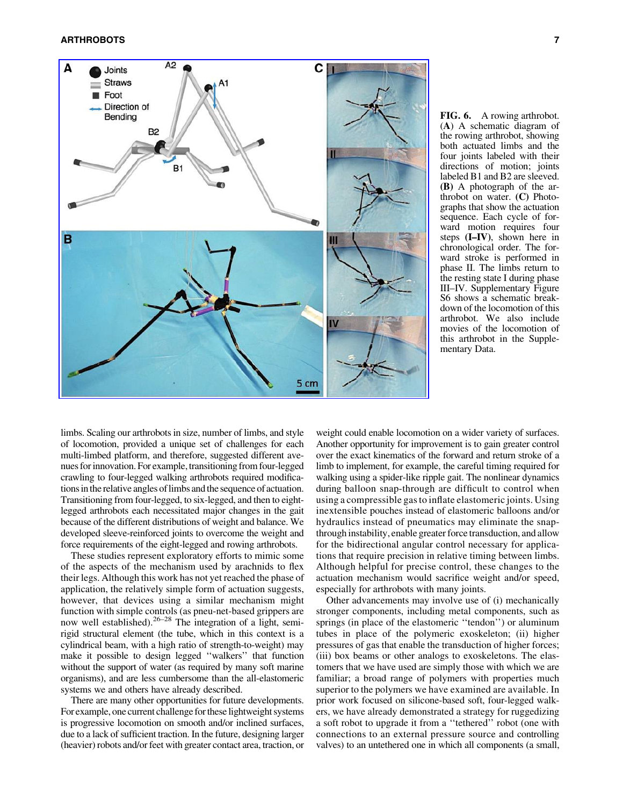

FIG. 6. A rowing arthrobot. (A) A schematic diagram of the rowing arthrobot, showing both actuated limbs and the four joints labeled with their directions of motion; joints labeled B1 and B2 are sleeved. (B) A photograph of the arthrobot on water. (C) Photographs that show the actuation sequence. Each cycle of forward motion requires four steps (I–IV), shown here in chronological order. The forward stroke is performed in phase II. The limbs return to the resting state I during phase III–IV. Supplementary Figure S6 shows a schematic breakdown of the locomotion of this arthrobot. We also include movies of the locomotion of this arthrobot in the Supplementary Data.

limbs. Scaling our arthrobots in size, number of limbs, and style of locomotion, provided a unique set of challenges for each multi-limbed platform, and therefore, suggested different avenues for innovation. For example, transitioning from four-legged crawling to four-legged walking arthrobots required modifications in the relative angles of limbs and the sequence of actuation. Transitioning from four-legged, to six-legged, and then to eightlegged arthrobots each necessitated major changes in the gait because of the different distributions of weight and balance. We developed sleeve-reinforced joints to overcome the weight and force requirements of the eight-legged and rowing arthrobots.

These studies represent exploratory efforts to mimic some of the aspects of the mechanism used by arachnids to flex their legs. Although this work has not yet reached the phase of application, the relatively simple form of actuation suggests, however, that devices using a similar mechanism might function with simple controls (as pneu-net-based grippers are now well established).<sup>26–28</sup> The integration of a light, semirigid structural element (the tube, which in this context is a cylindrical beam, with a high ratio of strength-to-weight) may make it possible to design legged ''walkers'' that function without the support of water (as required by many soft marine organisms), and are less cumbersome than the all-elastomeric systems we and others have already described.

There are many other opportunities for future developments. For example, one current challenge for these lightweight systems is progressive locomotion on smooth and/or inclined surfaces, due to a lack of sufficient traction. In the future, designing larger (heavier) robots and/or feet with greater contact area, traction, or

weight could enable locomotion on a wider variety of surfaces. Another opportunity for improvement is to gain greater control over the exact kinematics of the forward and return stroke of a limb to implement, for example, the careful timing required for walking using a spider-like ripple gait. The nonlinear dynamics during balloon snap-through are difficult to control when using a compressible gas to inflate elastomeric joints. Using inextensible pouches instead of elastomeric balloons and/or hydraulics instead of pneumatics may eliminate the snapthrough instability, enable greater force transduction, and allow for the bidirectional angular control necessary for applications that require precision in relative timing between limbs. Although helpful for precise control, these changes to the actuation mechanism would sacrifice weight and/or speed, especially for arthrobots with many joints.

Other advancements may involve use of (i) mechanically stronger components, including metal components, such as springs (in place of the elastomeric ''tendon'') or aluminum tubes in place of the polymeric exoskeleton; (ii) higher pressures of gas that enable the transduction of higher forces; (iii) box beams or other analogs to exoskeletons. The elastomers that we have used are simply those with which we are familiar; a broad range of polymers with properties much superior to the polymers we have examined are available. In prior work focused on silicone-based soft, four-legged walkers, we have already demonstrated a strategy for ruggedizing a soft robot to upgrade it from a ''tethered'' robot (one with connections to an external pressure source and controlling valves) to an untethered one in which all components (a small,